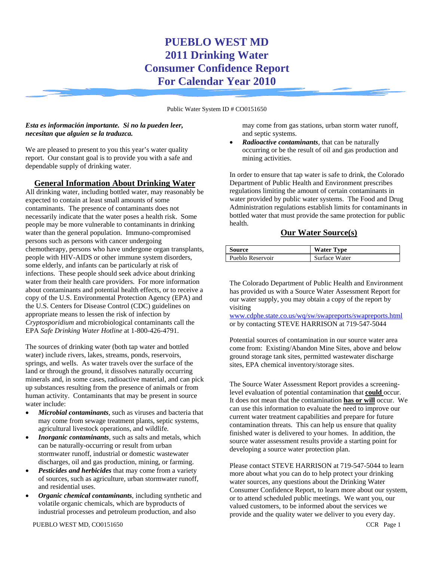# **PUEBLO WEST MD 2011 Drinking Water Consumer Confidence Report For Calendar Year 2010**

Public Water System ID # CO0151650

#### *Esta es información importante. Si no la pueden leer, necesitan que alguien se la traduzca.*

We are pleased to present to you this year's water quality report. Our constant goal is to provide you with a safe and dependable supply of drinking water.

## **General Information About Drinking Water**

All drinking water, including bottled water, may reasonably be expected to contain at least small amounts of some contaminants. The presence of contaminants does not necessarily indicate that the water poses a health risk. Some people may be more vulnerable to contaminants in drinking water than the general population. Immuno-compromised persons such as persons with cancer undergoing chemotherapy, persons who have undergone organ transplants, people with HIV-AIDS or other immune system disorders, some elderly, and infants can be particularly at risk of infections. These people should seek advice about drinking water from their health care providers. For more information about contaminants and potential health effects, or to receive a copy of the U.S. Environmental Protection Agency (EPA) and the U.S. Centers for Disease Control (CDC) guidelines on appropriate means to lessen the risk of infection by *Cryptosporidium* and microbiological contaminants call the EPA *Safe Drinking Water Hotline* at 1-800-426-4791.

The sources of drinking water (both tap water and bottled water) include rivers, lakes, streams, ponds, reservoirs, springs, and wells. As water travels over the surface of the land or through the ground, it dissolves naturally occurring minerals and, in some cases, radioactive material, and can pick up substances resulting from the presence of animals or from human activity. Contaminants that may be present in source water include:

- *Microbial contaminants,* such as viruses and bacteria that may come from sewage treatment plants, septic systems, agricultural livestock operations, and wildlife*.*
- *Inorganic contaminants*, such as salts and metals, which can be naturally-occurring or result from urban stormwater runoff, industrial or domestic wastewater discharges, oil and gas production, mining, or farming.
- Pesticides and herbicides that may come from a variety of sources, such as agriculture, urban stormwater runoff, and residential uses.
- *Organic chemical contaminants,* including synthetic and volatile organic chemicals, which are byproducts of industrial processes and petroleum production, and also

may come from gas stations, urban storm water runoff, and septic systems.

• *Radioactive contaminants,* that can be naturally occurring or be the result of oil and gas production and mining activities.

In order to ensure that tap water is safe to drink, the Colorado Department of Public Health and Environment prescribes regulations limiting the amount of certain contaminants in water provided by public water systems. The Food and Drug Administration regulations establish limits for contaminants in bottled water that must provide the same protection for public health.

## **Our Water Source(s)**

| Source           | <b>Water Type</b> |
|------------------|-------------------|
| Pueblo Reservoir | Surface Water     |

The Colorado Department of Public Health and Environment has provided us with a Source Water Assessment Report for our water supply, you may obtain a copy of the report by visiting

www.cdphe.state.co.us/wq/sw/swapreports/swapreports.html or by contacting STEVE HARRISON at 719-547-5044

Potential sources of contamination in our source water area come from: Existing/Abandon Mine Sites, above and below ground storage tank sites, permitted wastewater discharge sites, EPA chemical inventory/storage sites.

The Source Water Assessment Report provides a screeninglevel evaluation of potential contamination that **could** occur. It does not mean that the contamination **has or will** occur. We can use this information to evaluate the need to improve our current water treatment capabilities and prepare for future contamination threats. This can help us ensure that quality finished water is delivered to your homes. In addition, the source water assessment results provide a starting point for developing a source water protection plan.

Please contact STEVE HARRISON at 719-547-5044 to learn more about what you can do to help protect your drinking water sources, any questions about the Drinking Water Consumer Confidence Report, to learn more about our system, or to attend scheduled public meetings. We want you, our valued customers, to be informed about the services we provide and the quality water we deliver to you every day.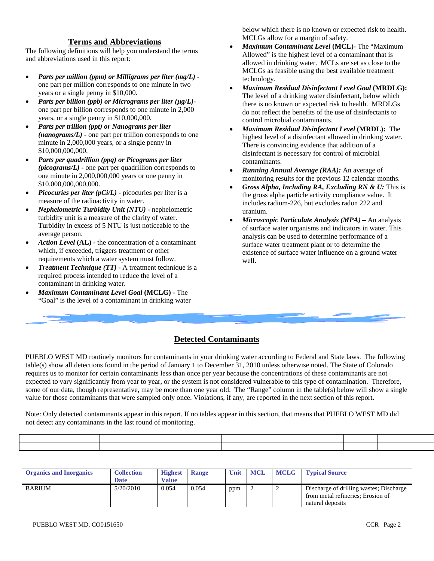#### **Terms and Abbreviations**

The following definitions will help you understand the terms and abbreviations used in this report:

- *Parts per million (ppm) or Milligrams per liter (mg/L)* one part per million corresponds to one minute in two years or a single penny in \$10,000.
- *Parts per billion (ppb) or Micrograms per liter (µg/L)* one part per billion corresponds to one minute in 2,000 years, or a single penny in \$10,000,000.
- *Parts per trillion (ppt) or Nanograms per liter (nanograms/L)* **-** one part per trillion corresponds to one minute in 2,000,000 years, or a single penny in \$10,000,000,000.
- *Parts per quadrillion (ppq) or Picograms per liter (picograms/L)* **-** one part per quadrillion corresponds to one minute in 2,000,000,000 years or one penny in \$10,000,000,000,000.
- *Picocuries per liter (pCi/L)* **-** picocuries per liter is a measure of the radioactivity in water.
- *Nephelometric Turbidity Unit (NTU)* **-** nephelometric turbidity unit is a measure of the clarity of water. Turbidity in excess of 5 NTU is just noticeable to the average person.
- *Action Level* **(AL) -** the concentration of a contaminant which, if exceeded, triggers treatment or other requirements which a water system must follow.
- *Treatment Technique (TT)* **-** A treatment technique is a required process intended to reduce the level of a contaminant in drinking water.
- *Maximum Contaminant Level Goal* **(MCLG) -** The "Goal" is the level of a contaminant in drinking water

below which there is no known or expected risk to health. MCLGs allow for a margin of safety.

- *Maximum Contaminant Level* **(MCL)-** The "Maximum Allowed" is the highest level of a contaminant that is allowed in drinking water. MCLs are set as close to the MCLGs as feasible using the best available treatment technology.
- *Maximum Residual Disinfectant Level Goal* **(MRDLG):** The level of a drinking water disinfectant, below which there is no known or expected risk to health. MRDLGs do not reflect the benefits of the use of disinfectants to control microbial contaminants.
- *Maximum Residual Disinfectant Level* **(MRDL):** The highest level of a disinfectant allowed in drinking water. There is convincing evidence that addition of a disinfectant is necessary for control of microbial contaminants.
- *Running Annual Average (RAA):* An average of monitoring results for the previous 12 calendar months.
- *Gross Alpha, Including RA, Excluding RN & U:* This is the gross alpha particle activity compliance value. It includes radium-226, but excludes radon 222 and uranium.
- *Microscopic Particulate Analysis (MPA) –* An analysis of surface water organisms and indicators in water. This analysis can be used to determine performance of a surface water treatment plant or to determine the existence of surface water influence on a ground water well.

# **Detected Contaminants**

PUEBLO WEST MD routinely monitors for contaminants in your drinking water according to Federal and State laws. The following table(s) show all detections found in the period of January 1 to December 31, 2010 unless otherwise noted. The State of Colorado requires us to monitor for certain contaminants less than once per year because the concentrations of these contaminants are not expected to vary significantly from year to year, or the system is not considered vulnerable to this type of contamination. Therefore, some of our data, though representative, may be more than one year old. The "Range" column in the table(s) below will show a single value for those contaminants that were sampled only once. Violations, if any, are reported in the next section of this report.

Note: Only detected contaminants appear in this report. If no tables appear in this section, that means that PUEBLO WEST MD did not detect any contaminants in the last round of monitoring.

| <b>Organics and Inorganics</b> | <b>Collection</b><br><b>Date</b> | <b>Highest</b><br>Value | <b>Range</b> | Unit | MCL | <b>MCLG</b> | <b>Typical Source</b>                                                                            |
|--------------------------------|----------------------------------|-------------------------|--------------|------|-----|-------------|--------------------------------------------------------------------------------------------------|
| <b>BARIUM</b>                  | 5/20/2010                        | 0.054                   | 0.054        | ppm  |     |             | Discharge of drilling wastes; Discharge<br>from metal refineries; Erosion of<br>natural deposits |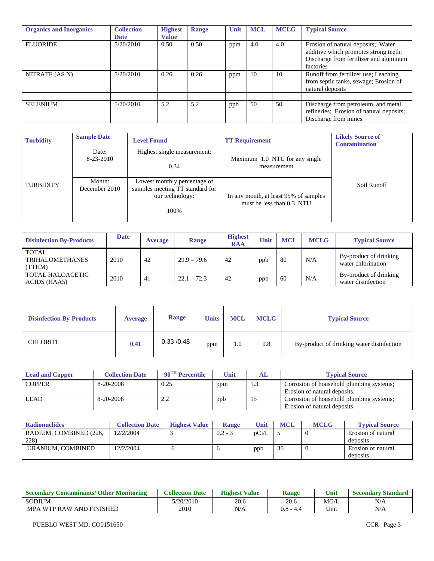| <b>Organics and Inorganics</b> | <b>Collection</b><br><b>Date</b> | <b>Highest</b><br><b>Value</b> | Range | Unit | <b>MCL</b> | <b>MCLG</b> | <b>Typical Source</b>                                                                                                              |
|--------------------------------|----------------------------------|--------------------------------|-------|------|------------|-------------|------------------------------------------------------------------------------------------------------------------------------------|
| <b>FLUORIDE</b>                | 5/20/2010                        | 0.50                           | 0.50  | ppm  | 4.0        | 4.0         | Erosion of natural deposits; Water<br>additive which promotes strong teeth;<br>Discharge from fertilizer and aluminum<br>factories |
| NITRATE (AS N)                 | 5/20/2010                        | 0.26                           | 0.26  | ppm  | 10         | 10          | Runoff from fertilizer use; Leaching<br>from septic tanks, sewage; Erosion of<br>natural deposits                                  |
|                                |                                  |                                |       |      |            |             |                                                                                                                                    |
| <b>SELENIUM</b>                | 5/20/2010                        | 5.2                            | 5.2   | ppb  | 50         | 50          | Discharge from petroleum and metal<br>refineries; Erosion of natural deposits;<br>Discharge from mines                             |

| <b>Turbidity</b> | <b>Sample Date</b>      | <b>Level Found</b>                                                                          | <b>TT Requirement</b>                                              | <b>Likely Source of</b><br><b>Contamination</b> |
|------------------|-------------------------|---------------------------------------------------------------------------------------------|--------------------------------------------------------------------|-------------------------------------------------|
|                  | Date:<br>8-23-2010      | Highest single measurement:<br>0.34                                                         | Maximum 1.0 NTU for any single<br>measurement                      |                                                 |
| <b>TURBIDITY</b> | Month:<br>December 2010 | Lowest monthly percentage of<br>samples meeting TT standard for<br>our technology:<br>100\% | In any month, at least 95% of samples<br>must be less than 0.3 NTU | Soil Runoff                                     |

| <b>Disinfection By-Products</b>                  | <b>Date</b> | <b>Average</b> | <b>Range</b>  | <b>Highest</b><br><b>RAA</b> | Unit | <b>MCL</b> | <b>MCLG</b> | <b>Typical Source</b>                        |
|--------------------------------------------------|-------------|----------------|---------------|------------------------------|------|------------|-------------|----------------------------------------------|
| <b>TOTAL</b><br><b>TRIHALOMETHANES</b><br>(TTHM) | 2010        | 42             | $29.9 - 79.6$ | 42                           | ppb  | 80         | N/A         | By-product of drinking<br>water chlorination |
| TOTAL HALOACETIC<br>ACIDS (HAA5)                 | 2010        | 41             | $22.1 - 72.3$ | 42                           | ppb  | 60         | N/A         | By-product of drinking<br>water disinfection |

| <b>Disinfection By-Products</b> | <b>Average</b> | <b>Range</b> | <b>Units</b> | <b>MCL</b> | <b>MCLG</b> | <b>Typical Source</b>                     |
|---------------------------------|----------------|--------------|--------------|------------|-------------|-------------------------------------------|
| <b>CHLORITE</b>                 | 0.41           | 0.33/0.48    | ppm          | 1.0        | 0.8         | By-product of drinking water disinfection |

| <b>Lead and Copper</b> | <b>Collection Date</b> | $90^{\text{TH}}$ Percentile | Unit | AL  | <b>Typical Source</b>                                                    |
|------------------------|------------------------|-----------------------------|------|-----|--------------------------------------------------------------------------|
| <b>COPPER</b>          | 8-20-2008              | 0.25                        | ppm  | 1.3 | Corrosion of household plumbing systems;<br>Erosion of natural deposits. |
| <b>LEAD</b>            | 8-20-2008              | ے ۔ ب                       | ppb  | 10  | Corrosion of household plumbing systems;<br>Erosion of natural deposits  |

| <b>Radionuclides</b>           | <b>Collection Date</b> | <b>Highest Value</b> | <b>Range</b> | Unit  | <b>MCL</b> | <b>MCLG</b> | <b>Typical Source</b>          |
|--------------------------------|------------------------|----------------------|--------------|-------|------------|-------------|--------------------------------|
| RADIUM, COMBINED (226.<br>228) | 12/2/2004              |                      | $0.2 - 3$    | pCi/L |            |             | Erosion of natural<br>deposits |
| URANIUM. COMBINED              | 12/2/2004              |                      |              | ppb   | 30         |             | Erosion of natural<br>deposits |

| Other $\mathbb{R}$<br><b>Monitoring</b><br><b>Secondary</b><br><b>Contaminants/</b> | <b>Date</b><br><b>Collection</b> | <b>Highest</b><br><b>Value</b> | <b>Range</b>         | Unit              | <b>Standard</b><br>secondary |
|-------------------------------------------------------------------------------------|----------------------------------|--------------------------------|----------------------|-------------------|------------------------------|
| <b>SODIUM</b>                                                                       | 5/20/2010                        | 20.6                           | 20.6                 | MG/L              | N/A                          |
| MPA<br>, WTP RAW<br><b>FINISHED</b><br><b>AND</b>                                   | 2010                             | N/A                            | $0.8\,$<br><b>⊥∟</b> | <sup>1</sup> Jnit | N/A                          |